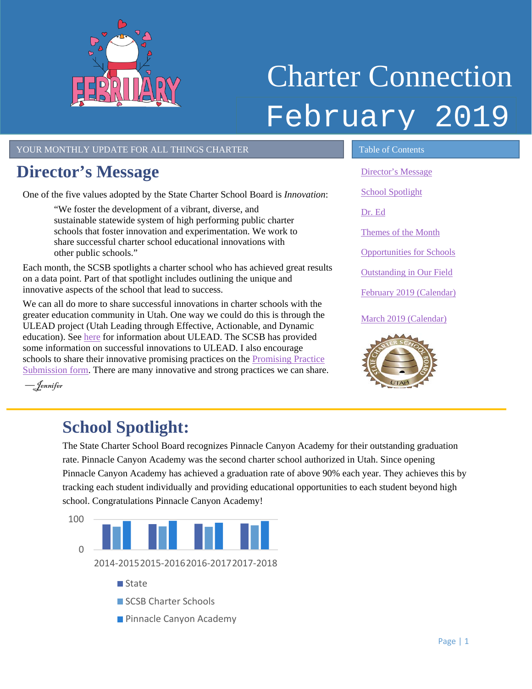<span id="page-0-1"></span>

# Charter Connection February 2019

#### YOUR MONTHLY UPDATE FOR ALL THINGS CHARTER TABLE OF Contents

## <span id="page-0-0"></span>**Director's Message**

One of the five values adopted by the State Charter School Board is *Innovation*:

"We foster the development of a vibrant, diverse, and sustainable statewide system of high performing public charter schools that foster innovation and experimentation. We work to share successful charter school educational innovations with other public schools."

Each month, the SCSB spotlights a charter school who has achieved great results on a data point. Part of that spotlight includes outlining the unique and innovative aspects of the school that lead to success.

We can all do more to share successful innovations in charter schools with the greater education community in Utah. One way we could do this is through the ULEAD project (Utah Leading through Effective, Actionable, and Dynamic education). See [here](https://schools.utah.gov/ulead/submissionsrequests?mid=4159&tid=1) for information about ULEAD. The SCSB has provided some information on successful innovations to ULEAD. I also encourage schools to share their innovative promising practices on the Promising Practice [Submission form.](https://schools.utah.gov/ulead/submissionsrequests?mid=4159&tid=1) There are many innovative and strong practices we can share.

[Director's Message](#page-0-0) [School Spotlight](#page-0-1) [Dr. Ed](#page-1-0) [Themes of the Month](#page-1-1) [Opportunities for Schools](#page-2-0)  [Outstanding in Our Field](#page-2-1) [February 2019 \(Calendar\)](#page-3-0) March [2019 \(Calendar\)](#page-3-1)



L

––Jennifer

## **School Spotlight:**

The State Charter School Board recognizes Pinnacle Canyon Academy for their outstanding graduation rate. Pinnacle Canyon Academy was the second charter school authorized in Utah. Since opening Pinnacle Canyon Academy has achieved a graduation rate of above 90% each year. They achieves this by tracking each student individually and providing educational opportunities to each student beyond high school. Congratulations Pinnacle Canyon Academy!

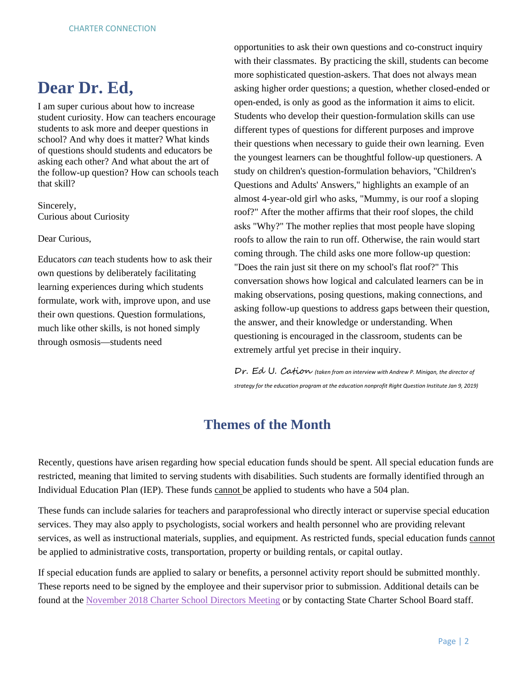## <span id="page-1-0"></span>**Dear Dr. Ed,**

I am super curious about how to increase student curiosity. How can teachers encourage students to ask more and deeper questions in school? And why does it matter? What kinds of questions should students and educators be asking each other? And what about the art of the follow-up question? How can schools teach that skill?

Sincerely, Curious about Curiosity

Dear Curious,

Educators *can* teach students how to ask their own questions by deliberately facilitating learning experiences during which students formulate, work with, improve upon, and use their own questions. Question formulations, much like other skills, is not honed simply through osmosis—students need

opportunities to ask their own questions and co-construct inquiry with their classmates. By practicing the skill, students can become more sophisticated question-askers. That does not always mean asking higher order questions; a question, whether closed-ended or open-ended, is only as good as the information it aims to elicit. Students who develop their question-formulation skills can use different types of questions for different purposes and improve their questions when necessary to guide their own learning. Even the youngest learners can be thoughtful follow-up questioners. A study on children's question-formulation behaviors, "Children's Questions and Adults' Answers," highlights an example of an almost 4-year-old girl who asks, "Mummy, is our roof a sloping roof?" After the mother affirms that their roof slopes, the child asks "Why?" The mother replies that most people have sloping roofs to allow the rain to run off. Otherwise, the rain would start coming through. The child asks one more follow-up question: "Does the rain just sit there on my school's flat roof?" This conversation shows how logical and calculated learners can be in making observations, posing questions, making connections, and asking follow-up questions to address gaps between their question, the answer, and their knowledge or understanding. When questioning is encouraged in the classroom, students can be extremely artful yet precise in their inquiry.

Dr. Ed U. Cation *(taken from an interview with Andrew P. Minigan, the director of strategy for the education program at the education nonprofit Right Question Institute Jan 9, 2019)*

### **Themes of the Month**

<span id="page-1-1"></span>Recently, questions have arisen regarding how special education funds should be spent. All special education funds are restricted, meaning that limited to serving students with disabilities. Such students are formally identified through an Individual Education Plan (IEP). These funds cannot be applied to students who have a 504 plan.

These funds can include salaries for teachers and paraprofessional who directly interact or supervise special education services. They may also apply to psychologists, social workers and health personnel who are providing relevant services, as well as instructional materials, supplies, and equipment. As restricted funds, special education funds cannot be applied to administrative costs, transportation, property or building rentals, or capital outlay.

If special education funds are applied to salary or benefits, a personnel activity report should be submitted monthly. These reports need to be signed by the employee and their supervisor prior to submission. Additional details can be found at the [November 2018 Charter School Directors Meeting](https://www.utahscsb.org/charter-directors-november-2018) or by contacting State Charter School Board staff.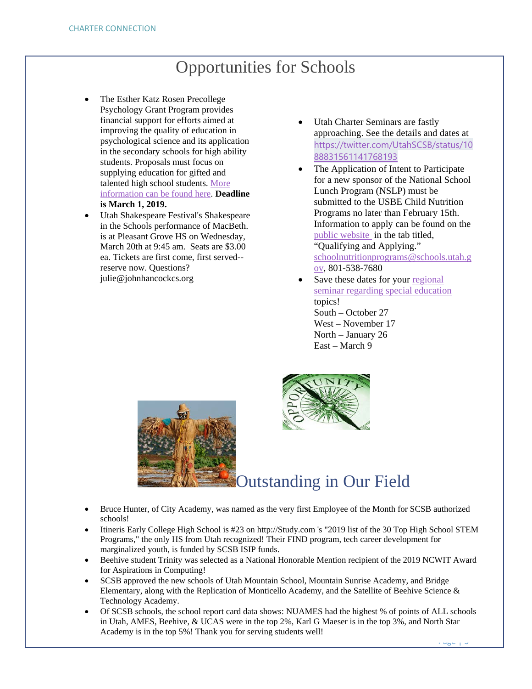## Opportunities for Schools

- <span id="page-2-0"></span>The Esther Katz Rosen Precollege Psychology Grant Program provides financial support for efforts aimed at improving the quality of education in psychological science and its application in the secondary schools for high ability students. Proposals must focus on supplying education for gifted and talented high school students. [More](https://drive.google.com/file/d/1WOzmyoTCxJQxOd7VEgnjgMiMN0IbLfhl/view?usp=sharing)  [information can be found here.](https://drive.google.com/file/d/1WOzmyoTCxJQxOd7VEgnjgMiMN0IbLfhl/view?usp=sharing) **Deadline is March 1, 2019.**
- Utah Shakespeare Festival's Shakespeare in the Schools performance of MacBeth. is at Pleasant Grove HS on Wednesday, March 20th at 9:45 am. Seats are \$3.00 ea. Tickets are first come, first served- reserve now. Questions? julie@johnhancockcs.org
- Utah Charter Seminars are fastly approaching. See the details and dates at [https://twitter.com/UtahSCSB/status/10](https://twitter.com/UtahSCSB/status/1088831561141768193) [88831561141768193](https://twitter.com/UtahSCSB/status/1088831561141768193)
- The Application of Intent to Participate for a new sponsor of the National School Lunch Program (NSLP) must be submitted to the USBE Child Nutrition Programs no later than February 15th. Information to apply can be found on the [public website](https://schools.utah.gov/cnp/nslp) in the tab titled, "Qualifying and Applying." [schoolnutritionprograms@schools.utah.g](mailto:schoolnutritionprograms@schools.utah.gov) [ov,](mailto:schoolnutritionprograms@schools.utah.gov) 801-538-7680
- Save these dates for your regional [seminar regarding special education](https://drive.google.com/file/d/1JEg657aeIGbM-BDTb7Z427Iprf1shI54/view?usp=sharing) topics! South – October 27 West – November 17 North – January 26 East – March 9

<span id="page-2-1"></span>



## Outstanding in Our Field

- Bruce Hunter, of City Academy, was named as the very first Employee of the Month for SCSB authorized schools!
- Itineris Early College High School is #23 on http://Study.com 's "2019 list of the 30 Top High School STEM Programs," the only HS from Utah recognized! Their FIND program, tech career development for marginalized youth, is funded by SCSB ISIP funds.
- Beehive student Trinity was selected as a National Honorable Mention recipient of the 2019 NCWIT Award for Aspirations in Computing!
- SCSB approved the new schools of Utah Mountain School, Mountain Sunrise Academy, and Bridge Elementary, along with the Replication of Monticello Academy, and the Satellite of Beehive Science & Technology Academy.
- Of SCSB schools, the school report card data shows: NUAMES had the highest % of points of ALL schools in Utah, AMES, Beehive, & UCAS were in the top 2%, Karl G Maeser is in the top 3%, and North Star Academy is in the top 5%! Thank you for serving students well!